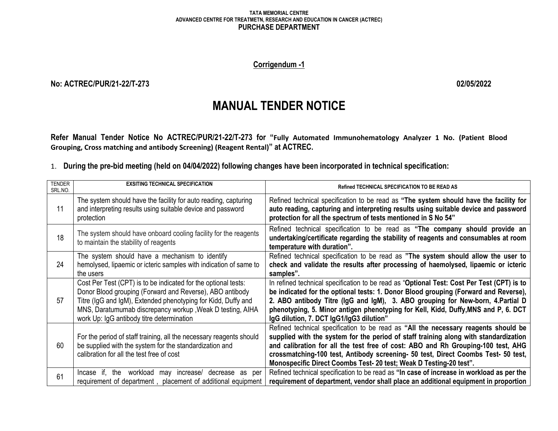### **TATA MEMORIAL CENTRE ADVANCED CENTRE FOR TREATMETN, RESEARCH AND EDUCATION IN CANCER (ACTREC) PURCHASE DEPARTMENT**

## **Corrigendum -1**

## **No: ACTREC/PUR/21-22/T-273 02/05/2022**

# **MANUAL TENDER NOTICE**

**Refer Manual Tender Notice No ACTREC/PUR/21-22/T-273 for "Fully Automated Immunohematology Analyzer 1 No. (Patient Blood Grouping, Cross matching and antibody Screening) (Reagent Rental)" at ACTREC.**

1. **During the pre-bid meeting (held on 04/04/2022) following changes have been incorporated in technical specification:**

| <b>TENDER</b><br>SRL.NO. | <b>EXSITING TECHNICAL SPECIFICATION</b>                                                                                                                                                                                                                                                               | <b>Refined TECHNICAL SPECIFICATION TO BE READ AS</b>                                                                                                                                                                                                                                                                                                                                                                       |
|--------------------------|-------------------------------------------------------------------------------------------------------------------------------------------------------------------------------------------------------------------------------------------------------------------------------------------------------|----------------------------------------------------------------------------------------------------------------------------------------------------------------------------------------------------------------------------------------------------------------------------------------------------------------------------------------------------------------------------------------------------------------------------|
| 11                       | The system should have the facility for auto reading, capturing<br>and interpreting results using suitable device and password<br>protection                                                                                                                                                          | Refined technical specification to be read as "The system should have the facility for<br>auto reading, capturing and interpreting results using suitable device and password<br>protection for all the spectrum of tests mentioned in S No 54"                                                                                                                                                                            |
| 18                       | The system should have onboard cooling facility for the reagents<br>to maintain the stability of reagents                                                                                                                                                                                             | Refined technical specification to be read as "The company should provide an<br>undertaking/certificate regarding the stability of reagents and consumables at room<br>temperature with duration".                                                                                                                                                                                                                         |
| 24                       | The system should have a mechanism to identify<br>hemolysed, lipaemic or icteric samples with indication of same to<br>the users                                                                                                                                                                      | Refined technical specification to be read as "The system should allow the user to<br>check and validate the results after processing of haemolysed, lipaemic or icteric<br>samples".                                                                                                                                                                                                                                      |
| 57                       | Cost Per Test (CPT) is to be indicated for the optional tests:<br>Donor Blood grouping (Forward and Reverse), ABO antibody<br>Titre (IgG and IgM), Extended phenotyping for Kidd, Duffy and<br>MNS, Daratumumab discrepancy workup, Weak D testing, AIHA<br>work Up: IgG antibody titre determination | In refined technical specification to be read as "Optional Test: Cost Per Test (CPT) is to<br>be indicated for the optional tests: 1. Donor Blood grouping (Forward and Reverse),<br>2. ABO antibody Titre (IgG and IgM), 3. ABO grouping for New-born, 4. Partial D<br>phenotyping, 5. Minor antigen phenotyping for Kell, Kidd, Duffy, MNS and P, 6. DCT<br>IgG dilution, 7. DCT IgG1/IgG3 dilution"                     |
| 60                       | For the period of staff training, all the necessary reagents should<br>be supplied with the system for the standardization and<br>calibration for all the test free of cost                                                                                                                           | Refined technical specification to be read as "All the necessary reagents should be<br>supplied with the system for the period of staff training along with standardization<br>and calibration for all the test free of cost: ABO and Rh Grouping-100 test, AHG<br>crossmatching-100 test, Antibody screening- 50 test, Direct Coombs Test- 50 test,<br>Monospecific Direct Coombs Test- 20 test; Weak D Testing-20 test". |
| 61                       | workload may increase/<br>Incase if, the<br>decrease as per<br>requirement of department, placement of additional equipment                                                                                                                                                                           | Refined technical specification to be read as "In case of increase in workload as per the<br>requirement of department, vendor shall place an additional equipment in proportion                                                                                                                                                                                                                                           |